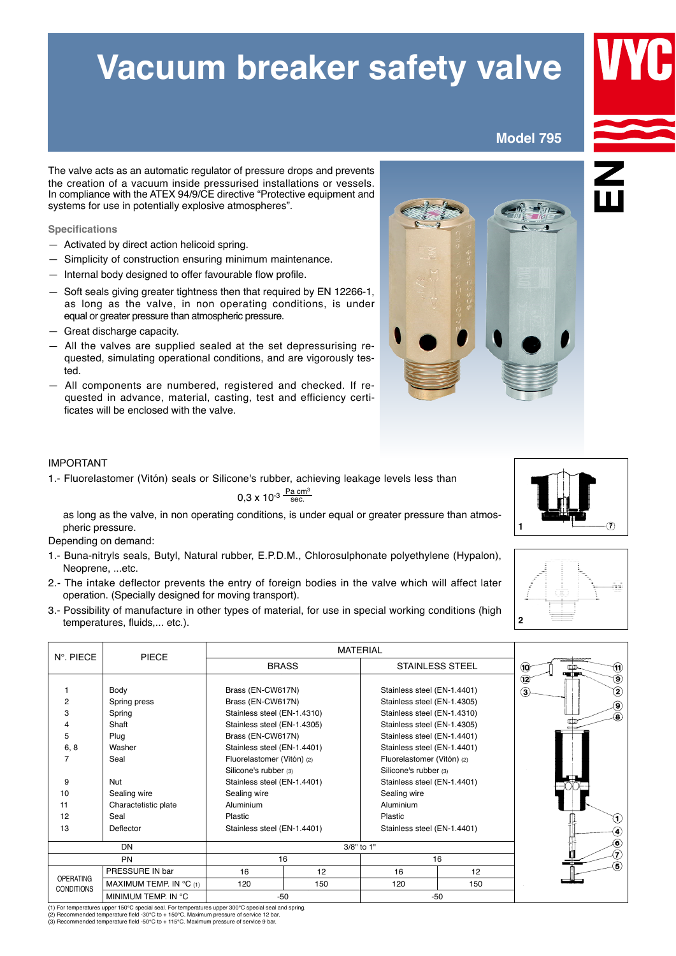## **Vacuum breaker safety valve**

**Model 795**

The valve acts as an automatic regulator of pressure drops and prevents the creation of a vacuum inside pressurised installations or vessels. In compliance with the ATEX 94/9/CE directive "Protective equipment and systems for use in potentially explosive atmospheres".

**Specifications**

- $-$  Activated by direct action helicoid spring.
- Simplicity of construction ensuring minimum maintenance.
- $-$  Internal body designed to offer favourable flow profile.
- Soft seals giving greater tightness then that required by EN 12266-1, as long as the valve, in non operating conditions, is under equal or greater pressure than atmospheric pressure.
- $-$  Great discharge capacity.
- —aAll the valves are supplied sealed at the set depressurising re quested, simulating operational conditions, and are vigorously tested.
- $-$  All components are numbered, registered and checked. If requested in advance, material, casting, test and efficiency certificates will be enclosed with the valve.

## IMPORTANT

1.- Fluorelastomer (Vitón) seals or Silicone's rubber, achieving leakage levels less than .

 $0,3 \times 10^{-3} \frac{\text{Pa cm}^3}{\text{sec}}$ 

as long as the valve, in non operating conditions, is under equal or greater pressure than atmospheric pressure.

Depending on demand:

- 1.- Buna-nitryls seals, Butyl, Natural rubber, E.P.D.M., Chlorosulphonate polyethylene (Hypalon), Neoprene, ...etc.
- 2.- The intake deflector prevents the entry of foreign bodies in the valve which will affect later operation. (Specially designed for moving transport).
- 3.- Possibility of manufacture in other types of material, for use in special working conditions (high temperatures, fluids,... etc.).

| N°. PIECE         | <b>PIECE</b>            |                             |     |                             |                        |                                     |
|-------------------|-------------------------|-----------------------------|-----|-----------------------------|------------------------|-------------------------------------|
|                   |                         | <b>BRASS</b>                |     |                             | <b>STAINLESS STEEL</b> | $\ddot{0}$<br>(11)<br>ഥാ<br>ani pro |
|                   |                         |                             |     |                             |                        | ◉<br>$\bigcirc$                     |
|                   | Body                    | Brass (EN-CW617N)           |     | Stainless steel (EN-1.4401) |                        | T<br>3                              |
| 2                 | Spring press            | Brass (EN-CW617N)           |     | Stainless steel (EN-1.4305) |                        | $\circledcirc$                      |
| 3                 | Spring                  | Stainless steel (EN-1.4310) |     | Stainless steel (EN-1.4310) |                        | ⊛                                   |
|                   | Shaft                   | Stainless steel (EN-1.4305) |     | Stainless steel (EN-1.4305) |                        |                                     |
| 5                 | Plug                    | Brass (EN-CW617N)           |     | Stainless steel (EN-1.4401) |                        |                                     |
| 6, 8              | Washer                  | Stainless steel (EN-1.4401) |     | Stainless steel (EN-1.4401) |                        |                                     |
| 7                 | Seal                    | Fluorelastomer (Vitón) (2)  |     | Fluorelastomer (Vitón) (2)  |                        |                                     |
|                   |                         | Silicone's rubber (3)       |     | Silicone's rubber (3)       |                        |                                     |
| 9                 | Nut                     | Stainless steel (EN-1.4401) |     | Stainless steel (EN-1.4401) |                        |                                     |
| 10                | Sealing wire            | Sealing wire                |     | Sealing wire                |                        |                                     |
| 11                | Charactetistic plate    | Aluminium                   |     | Aluminium                   |                        |                                     |
| 12                | Seal                    | Plastic                     |     | Plastic                     |                        | $\left( 1\right)$                   |
| 13                | Deflector               | Stainless steel (EN-1.4401) |     | Stainless steel (EN-1.4401) |                        | O                                   |
| <b>DN</b>         |                         |                             |     | ⊛                           |                        |                                     |
| <b>PN</b>         |                         | 3/8" to 1"<br>16            |     | 16                          |                        | $\widehat{a}$                       |
|                   | PRESSURE IN bar         | 16<br>12                    |     | 16<br>12                    |                        | 6                                   |
| <b>OPERATING</b>  | MAXIMUM TEMP. IN °C (1) | 120                         | 150 | 120                         | 150                    |                                     |
| <b>CONDITIONS</b> |                         |                             |     |                             |                        |                                     |
|                   | MINIMUM TEMP. IN °C     | $-50$                       |     | -50                         |                        |                                     |

(1) For temperatures upper 150°C special seal. For temperatures upper 300°C special seal and spring.<br>(2) Recommended temperature field -30°C to + 150°C. Maximum pressure of service 12 bar.<br>(3) Recommended temperature field